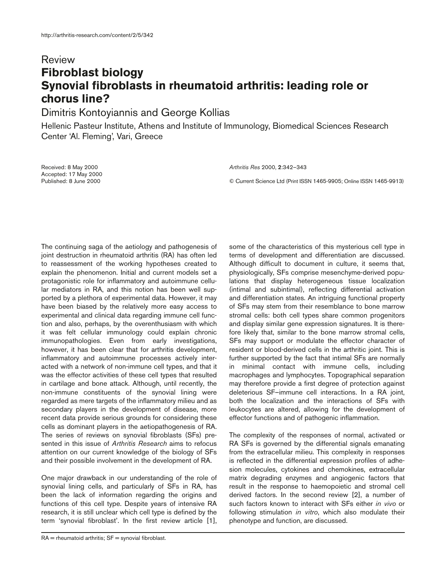## Review **Fibroblast biology Synovial fibroblasts in rheumatoid arthritis: leading role or chorus line?**

Dimitris Kontoyiannis and George Kollias

Hellenic Pasteur Institute, Athens and Institute of Immunology, Biomedical Sciences Research Center 'Al. Fleming', Vari, Greece

Received: 8 May 2000 Accepted: 17 May 2000 Published: 8 June 2000

*Arthritis Res* 2000, **2**:342–343

© Current Science Ltd (Print ISSN 1465-9905; Online ISSN 1465-9913)

The continuing saga of the aetiology and pathogenesis of joint destruction in rheumatoid arthritis (RA) has often led to reassessment of the working hypotheses created to explain the phenomenon. Initial and current models set a protagonistic role for inflammatory and autoimmune cellular mediators in RA, and this notion has been well supported by a plethora of experimental data. However, it may have been biased by the relatively more easy access to experimental and clinical data regarding immune cell function and also, perhaps, by the overenthusiasm with which it was felt cellular immunology could explain chronic immunopathologies. Even from early investigations, however, it has been clear that for arthritis development, inflammatory and autoimmune processes actively interacted with a network of non-immune cell types, and that it was the effector activities of these cell types that resulted in cartilage and bone attack. Although, until recently, the non-immune constituents of the synovial lining were regarded as mere targets of the inflammatory milieu and as secondary players in the development of disease, more recent data provide serious grounds for considering these cells as dominant players in the aetiopathogenesis of RA. The series of reviews on synovial fibroblasts (SFs) presented in this issue of *Arthritis Research* aims to refocus attention on our current knowledge of the biology of SFs and their possible involvement in the development of RA.

One major drawback in our understanding of the role of synovial lining cells, and particularly of SFs in RA, has been the lack of information regarding the origins and functions of this cell type. Despite years of intensive RA research, it is still unclear which cell type is defined by the term 'synovial fibroblast'. In the first review article [1],

 $RA =$  rheumatoid arthritis;  $SF =$  synovial fibroblast.

some of the characteristics of this mysterious cell type in terms of development and differentiation are discussed. Although difficult to document in culture, it seems that, physiologically, SFs comprise mesenchyme-derived populations that display heterogeneous tissue localization (intimal and subintimal), reflecting differential activation and differentiation states. An intriguing functional property of SFs may stem from their resemblance to bone marrow stromal cells: both cell types share common progenitors and display similar gene expression signatures. It is therefore likely that, similar to the bone marrow stromal cells, SFs may support or modulate the effector character of resident or blood-derived cells in the arthritic joint. This is further supported by the fact that intimal SFs are normally in minimal contact with immune cells, including macrophages and lymphocytes. Topographical separation may therefore provide a first degree of protection against deleterious SF–immune cell interactions. In a RA joint, both the localization and the interactions of SFs with leukocytes are altered, allowing for the development of effector functions and of pathogenic inflammation.

The complexity of the responses of normal, activated or RA SFs is governed by the differential signals emanating from the extracellular milieu. This complexity in responses is reflected in the differential expression profiles of adhesion molecules, cytokines and chemokines, extracellular matrix degrading enzymes and angiogenic factors that result in the response to haemopoietic and stromal cell derived factors. In the second review [2], a number of such factors known to interact with SFs either *in vivo* or following stimulation *in vitro*, which also modulate their phenotype and function, are discussed.